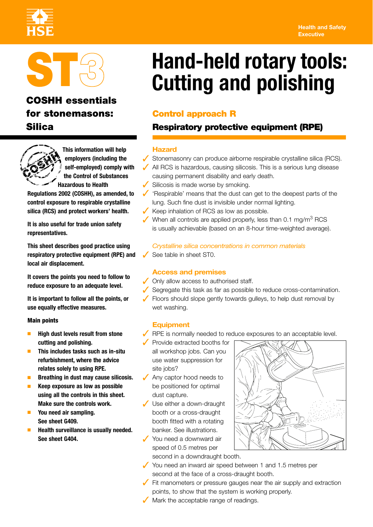#### **Health and Safety Executive**





## **COSHH essentials for stonemasons: Control approach R**



**This information will help employers (including the self-employed) comply with the Control of Substances Hazardous to Health** 

**Regulations 2002 (COSHH), as amended, to control exposure to respirable crystalline silica (RCS) and protect workers' health.** 

**It is also useful for trade union safety representatives.** 

**This sheet describes good practice using respiratory protective equipment (RPE) and local air displacement.** 

**It covers the points you need to follow to reduce exposure to an adequate level.** 

**It is important to follow all the points, or use equally effective measures.** 

#### **Main points**

- **High dust levels result from stone cutting and polishing.**
- **This includes tasks such as in-situ refurbishment, where the advice relates solely to using RPE.**
- **Breathing in dust may cause silicosis.**
- **Keep exposure as low as possible using all the controls in this sheet. Make sure the controls work.**
- **You need air sampling. See sheet G409.**
- **Health surveillance is usually needed. See sheet G404.**

# **Hand-held rotary tools:**<br> **ST3 Cutting and polishing**

### **Silica Respiratory protective equipment (RPE)**

#### **Hazard**

- ✓ Stonemasonry can produce airborne respirable crystalline silica (RCS).
- ◆ All RCS is hazardous, causing silicosis. This is a serious lung disease causing permanent disability and early death.
- ✓ Silicosis is made worse by smoking.
- ✓ 'Respirable' means that the dust can get to the deepest parts of the lung. Such fine dust is invisible under normal lighting.
- ✓ Keep inhalation of RCS as low as possible.
- $\sqrt{\ }$  When all controls are applied properly, less than 0.1 mg/m<sup>3</sup> RCS is usually achievable (based on an 8-hour time-weighted average).

#### *Crystalline silica concentrations in common materials*

See table in sheet ST0.

#### **Access and premises**

✓ Only allow access to authorised staff.

- ✓ Segregate this task as far as possible to reduce cross-contamination.
- ✓ Floors should slope gently towards gulleys, to help dust removal by wet washing.

#### **Equipment**

- $\sqrt{\phantom{a}}$  RPE is normally needed to reduce exposures to an acceptable level.
- ✓ Provide extracted booths for all workshop jobs. Can you use water suppression for site jobs?
- ◆ Any captor hood needs to be positioned for optimal dust capture.
- ✓ Use either a down-draught booth or a cross-draught booth fitted with a rotating banker. See illustrations.
- ✓ You need a downward air speed of 0.5 metres per second in a downdraught booth.



- ✓ You need an inward air speed between 1 and 1.5 metres per second at the face of a cross-draught booth.
- $\sqrt{\phantom{a}}$  Fit manometers or pressure gauges near the air supply and extraction points, to show that the system is working properly.
- ✓ Mark the acceptable range of readings.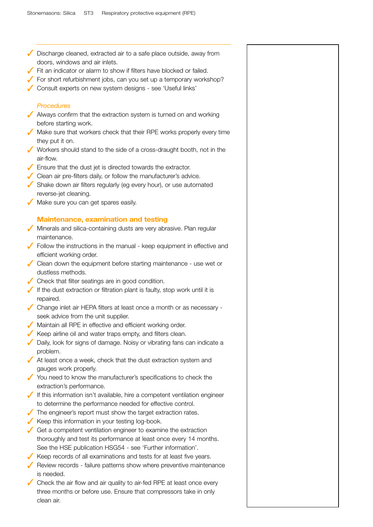- ✓ Discharge cleaned, extracted air to a safe place outside, away from doors, windows and air inlets.
- ✓ Fit an indicator or alarm to show if filters have blocked or failed.
- ✓ For short refurbishment jobs, can you set up a temporary workshop?
- ✓ Consult experts on new system designs see 'Useful links'

#### *Procedures*

- ✓ Always confirm that the extraction system is turned on and working before starting work.
- $\sqrt{\ }$  Make sure that workers check that their RPE works properly every time they put it on.
- ✓ Workers should stand to the side of a cross-draught booth, not in the air-flow.
- ✓ Ensure that the dust jet is directed towards the extractor.
- ✓ Clean air pre-filters daily, or follow the manufacturer's advice.
- ✓ Shake down air filters regularly (eg every hour), or use automated reverse-jet cleaning.
- ✓ Make sure you can get spares easily.

#### **Maintenance, examination and testing**

- ✓ Minerals and silica-containing dusts are very abrasive. Plan regular maintenance.
- $\sqrt{\ }$  Follow the instructions in the manual keep equipment in effective and efficient working order.
- ✓ Clean down the equipment before starting maintenance use wet or dustless methods.
- ✓ Check that filter seatings are in good condition.
- $\checkmark$  If the dust extraction or filtration plant is faulty, stop work until it is repaired.
- ✓ Change inlet air HEPA filters at least once a month or as necessary seek advice from the unit supplier.
- ✓ Maintain all RPE in effective and efficient working order.
- $\checkmark$  Keep airline oil and water traps empty, and filters clean.
- ✓ Daily, look for signs of damage. Noisy or vibrating fans can indicate a problem.
- $\sqrt{\phantom{a}}$  At least once a week, check that the dust extraction system and gauges work properly.
- ✓ You need to know the manufacturer's specifications to check the extraction's performance.
- If this information isn't available, hire a competent ventilation engineer to determine the performance needed for effective control.
- ✓ The engineer's report must show the target extraction rates.
- ✓ Keep this information in your testing log-book.
- $\sqrt{\ }$  Get a competent ventilation engineer to examine the extraction thoroughly and test its performance at least once every 14 months. See the HSE publication HSG54 - see 'Further information'.
- ✓ Keep records of all examinations and tests for at least five years.
- ✓ Review records failure patterns show where preventive maintenance is needed.
- $\sqrt{\phantom{a}}$  Check the air flow and air quality to air-fed RPE at least once every three months or before use. Ensure that compressors take in only clean air.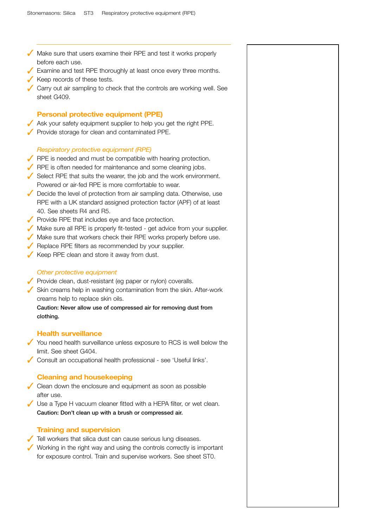✓ Make sure that users examine their RPE and test it works properly before each use. ✓ Examine and test RPE thoroughly at least once every three months. ✓ Keep records of these tests. ✓ Carry out air sampling to check that the controls are working well. See sheet G409. **Personal protective equipment (PPE)**  ◆ Ask your safety equipment supplier to help you get the right PPE. ✓ Provide storage for clean and contaminated PPE. *Respiratory protective equipment (RPE)*  ✓ RPE is needed and must be compatible with hearing protection. ◆ RPE is often needed for maintenance and some cleaning jobs. ✓ Select RPE that suits the wearer, the job and the work environment. Powered or air-fed RPE is more comfortable to wear. ✓ Decide the level of protection from air sampling data. Otherwise, use RPE with a UK standard assigned protection factor (APF) of at least 40. See sheets R4 and R5. ✓ Provide RPE that includes eye and face protection. ✓ Make sure all RPE is properly fit-tested - get advice from your supplier. ✓ Make sure that workers check their RPE works properly before use. ✓ Replace RPE filters as recommended by your supplier. ✓ Keep RPE clean and store it away from dust. *Other protective equipment*  ◆ Provide clean, dust-resistant (eg paper or nylon) coveralls. ✓ Skin creams help in washing contamination from the skin. After-work creams help to replace skin oils. **Caution: Never allow use of compressed air for removing dust from clothing. Health surveillance**  ✓ You need health surveillance unless exposure to RCS is well below the limit. See sheet G404. ✓ Consult an occupational health professional - see 'Useful links'. **Cleaning and housekeeping**   $\sqrt{\phantom{a}}$  Clean down the enclosure and equipment as soon as possible after use. ✓ Use a Type H vacuum cleaner fitted with a HEPA filter, or wet clean. **Caution: Don't clean up with a brush or compressed air. Training and supervision**  ✓ Tell workers that silica dust can cause serious lung diseases. ✓ Working in the right way and using the controls correctly is important for exposure control. Train and supervise workers. See sheet ST0.